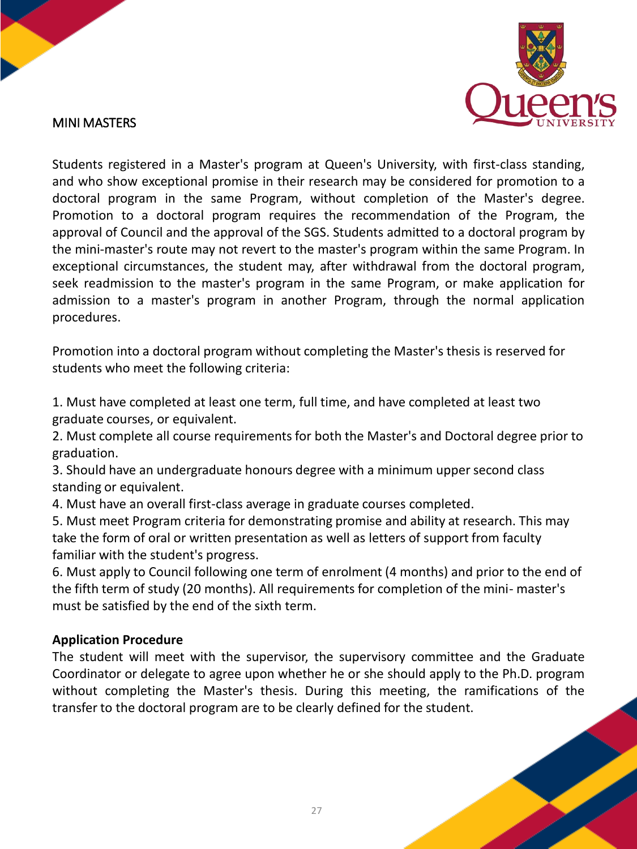

## MINI MASTERS

Students registered in a Master's program at Queen's University, with first-class standing, and who show exceptional promise in their research may be considered for promotion to a doctoral program in the same Program, without completion of the Master's degree. Promotion to a doctoral program requires the recommendation of the Program, the approval of Council and the approval of the SGS. Students admitted to a doctoral program by the mini-master's route may not revert to the master's program within the same Program. In exceptional circumstances, the student may, after withdrawal from the doctoral program, seek readmission to the master's program in the same Program, or make application for admission to a master's program in another Program, through the normal application procedures.

Promotion into a doctoral program without completing the Master's thesis is reserved for students who meet the following criteria:

1. Must have completed at least one term, full time, and have completed at least two graduate courses, or equivalent.

2. Must complete all course requirements for both the Master's and Doctoral degree prior to graduation.

3. Should have an undergraduate honours degree with a minimum upper second class standing or equivalent.

4. Must have an overall first-class average in graduate courses completed.

5. Must meet Program criteria for demonstrating promise and ability at research. This may take the form of oral or written presentation as well as letters of support from faculty familiar with the student's progress.

6. Must apply to Council following one term of enrolment (4 months) and prior to the end of the fifth term of study (20 months). All requirements for completion of the mini- master's must be satisfied by the end of the sixth term.

## **Application Procedure**

The student will meet with the supervisor, the supervisory committee and the Graduate Coordinator or delegate to agree upon whether he or she should apply to the Ph.D. program without completing the Master's thesis. During this meeting, the ramifications of the transfer to the doctoral program are to be clearly defined for the student.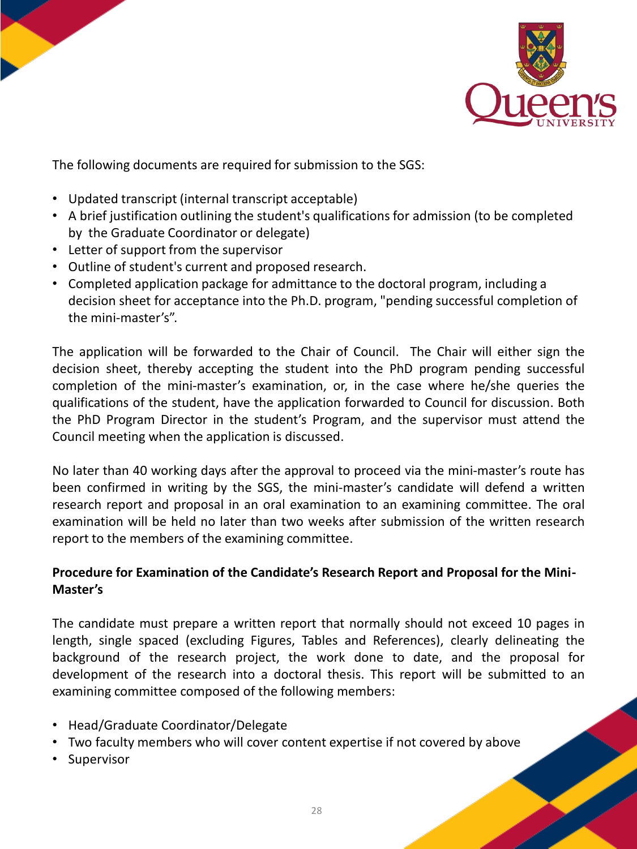



The following documents are required for submission to the SGS:

- Updated transcript (internal transcript acceptable)
- A brief justification outlining the student's qualifications for admission (to be completed by the Graduate Coordinator or delegate)
- Letter of support from the supervisor
- Outline of student's current and proposed research.
- Completed application package for admittance to the doctoral program, including a decision sheet for acceptance into the Ph.D. program, "pending successful completion of the mini-master's".

The application will be forwarded to the Chair of Council. The Chair will either sign the decision sheet, thereby accepting the student into the PhD program pending successful completion of the mini-master's examination, or, in the case where he/she queries the qualifications of the student, have the application forwarded to Council for discussion. Both the PhD Program Director in the student's Program, and the supervisor must attend the Council meeting when the application is discussed.

No later than 40 working days after the approval to proceed via the mini-master's route has been confirmed in writing by the SGS, the mini-master's candidate will defend a written research report and proposal in an oral examination to an examining committee. The oral examination will be held no later than two weeks after submission of the written research report to the members of the examining committee.

## **Procedure for Examination of the Candidate's Research Report and Proposal for the Mini-Master's**

The candidate must prepare a written report that normally should not exceed 10 pages in length, single spaced (excluding Figures, Tables and References), clearly delineating the background of the research project, the work done to date, and the proposal for development of the research into a doctoral thesis. This report will be submitted to an examining committee composed of the following members:

- Head/Graduate Coordinator/Delegate
- Two faculty members who will cover content expertise if not covered by above
- Supervisor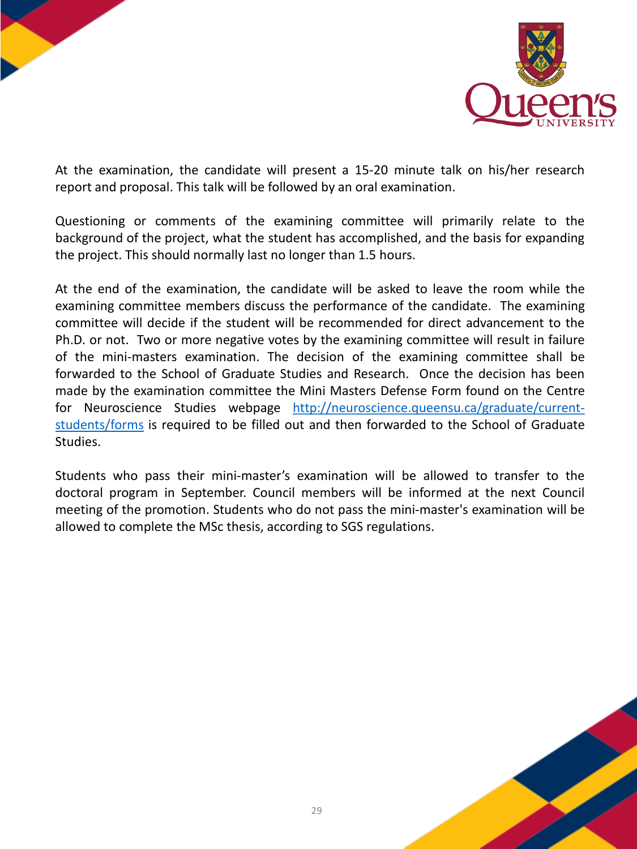



At the examination, the candidate will present a 15-20 minute talk on his/her research report and proposal. This talk will be followed by an oral examination.

Questioning or comments of the examining committee will primarily relate to the background of the project, what the student has accomplished, and the basis for expanding the project. This should normally last no longer than 1.5 hours.

At the end of the examination, the candidate will be asked to leave the room while the examining committee members discuss the performance of the candidate. The examining committee will decide if the student will be recommended for direct advancement to the Ph.D. or not. Two or more negative votes by the examining committee will result in failure of the mini-masters examination. The decision of the examining committee shall be forwarded to the School of Graduate Studies and Research. Once the decision has been made by the examination committee the Mini Masters Defense Form found on the Centre for Neuroscience Studies webpage [http://neuroscience.queensu.ca/graduate/current](http://neuroscience.queensu.ca/graduate/current-students/forms)students/forms is required to be filled out and then forwarded to the School of Graduate Studies.

Students who pass their mini-master's examination will be allowed to transfer to the doctoral program in September. Council members will be informed at the next Council meeting of the promotion. Students who do not pass the mini-master's examination will be allowed to complete the MSc thesis, according to SGS regulations.

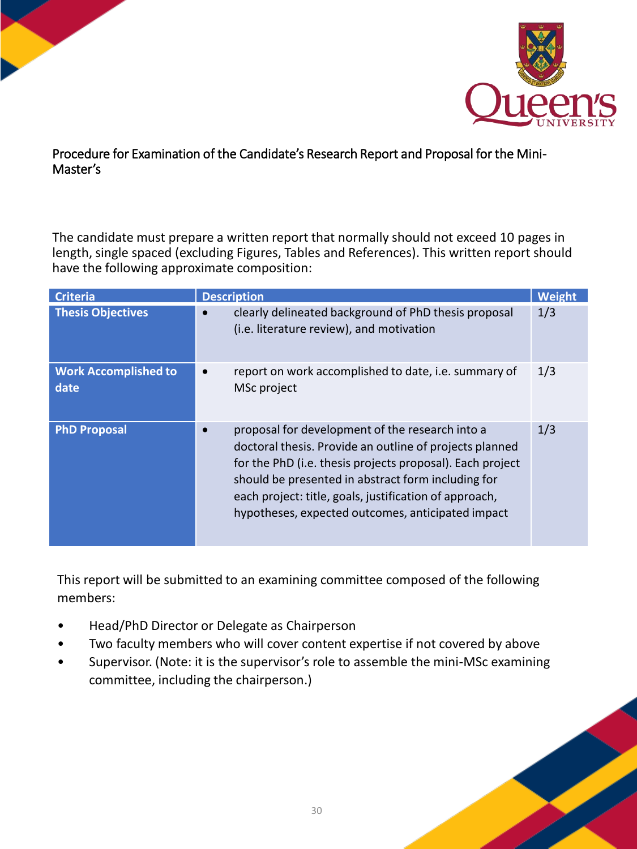

## Procedure for Examination of the Candidate's Research Report and Proposal for the Mini-Master's

The candidate must prepare a written report that normally should not exceed 10 pages in length, single spaced (excluding Figures, Tables and References). This written report should have the following approximate composition:

| <b>Criteria</b>                     | <b>Description</b>                                                                                                                                                                                                                                                                                                                           | Weight |
|-------------------------------------|----------------------------------------------------------------------------------------------------------------------------------------------------------------------------------------------------------------------------------------------------------------------------------------------------------------------------------------------|--------|
| <b>Thesis Objectives</b>            | clearly delineated background of PhD thesis proposal<br>(i.e. literature review), and motivation                                                                                                                                                                                                                                             | 1/3    |
| <b>Work Accomplished to</b><br>date | report on work accomplished to date, i.e. summary of<br>MSc project                                                                                                                                                                                                                                                                          | 1/3    |
| <b>PhD Proposal</b>                 | proposal for development of the research into a<br>doctoral thesis. Provide an outline of projects planned<br>for the PhD (i.e. thesis projects proposal). Each project<br>should be presented in abstract form including for<br>each project: title, goals, justification of approach,<br>hypotheses, expected outcomes, anticipated impact | 1/3    |

This report will be submitted to an examining committee composed of the following members:

- Head/PhD Director or Delegate as Chairperson
- Two faculty members who will cover content expertise if not covered by above
- Supervisor. (Note: it is the supervisor's role to assemble the mini-MSc examining committee, including the chairperson.)